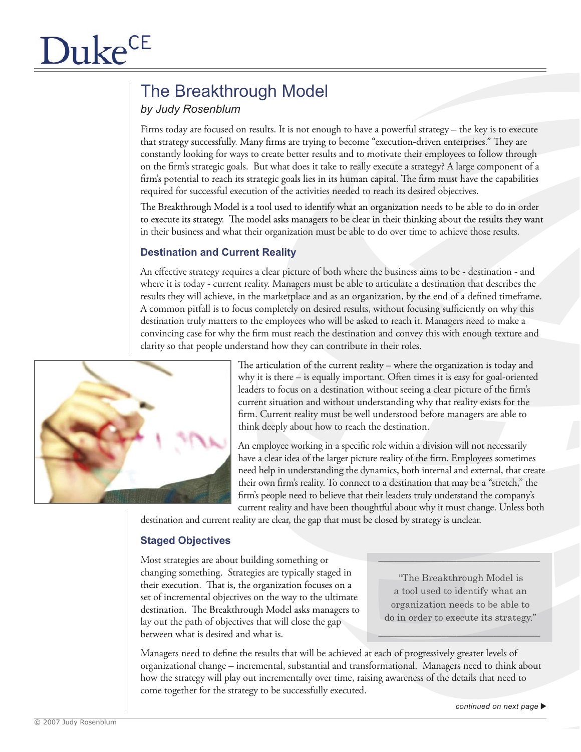# The Breakthrough Model

# *by Judy Rosenblum*

Firms today are focused on results. It is not enough to have a powerful strategy – the key is to execute that strategy successfully. Many firms are trying to become "execution-driven enterprises." They are constantly looking for ways to create better results and to motivate their employees to follow through on the firm's strategic goals. But what does it take to really execute a strategy? A large component of a firm's potential to reach its strategic goals lies in its human capital. The firm must have the capabilities required for successful execution of the activities needed to reach its desired objectives.

The Breakthrough Model is a tool used to identify what an organization needs to be able to do in order to execute its strategy. The model asks managers to be clear in their thinking about the results they want in their business and what their organization must be able to do over time to achieve those results.

## **Destination and Current Reality**

An effective strategy requires a clear picture of both where the business aims to be - destination - and where it is today - current reality. Managers must be able to articulate a destination that describes the results they will achieve, in the marketplace and as an organization, by the end of a defined timeframe. A common pitfall is to focus completely on desired results, without focusing sufficiently on why this destination truly matters to the employees who will be asked to reach it. Managers need to make a convincing case for why the firm must reach the destination and convey this with enough texture and clarity so that people understand how they can contribute in their roles.



The articulation of the current reality - where the organization is today and why it is there – is equally important. Often times it is easy for goal-oriented leaders to focus on a destination without seeing a clear picture of the firm's current situation and without understanding why that reality exists for the firm. Current reality must be well understood before managers are able to think deeply about how to reach the destination.

An employee working in a specific role within a division will not necessarily have a clear idea of the larger picture reality of the firm. Employees sometimes need help in understanding the dynamics, both internal and external, that create their own firm's reality. To connect to a destination that may be a "stretch," the firm's people need to believe that their leaders truly understand the company's current reality and have been thoughtful about why it must change. Unless both

destination and current reality are clear, the gap that must be closed by strategy is unclear.

### **Staged Objectives**

Most strategies are about building something or changing something. Strategies are typically staged in their execution. That is, the organization focuses on a set of incremental objectives on the way to the ultimate destination. The Breakthrough Model asks managers to lay out the path of objectives that will close the gap between what is desired and what is.

"The Breakthrough Model is a tool used to identify what an organization needs to be able to do in order to execute its strategy."

\_\_\_\_\_\_\_\_\_\_\_\_\_\_\_\_\_\_\_\_\_\_\_\_\_\_\_\_\_\_\_

 $\mathcal{L}=\mathcal{L}=\mathcal{L}=\mathcal{L}=\mathcal{L}=\mathcal{L}=\mathcal{L}=\mathcal{L}=\mathcal{L}=\mathcal{L}=\mathcal{L}=\mathcal{L}=\mathcal{L}=\mathcal{L}=\mathcal{L}=\mathcal{L}=\mathcal{L}=\mathcal{L}=\mathcal{L}=\mathcal{L}=\mathcal{L}=\mathcal{L}=\mathcal{L}=\mathcal{L}=\mathcal{L}=\mathcal{L}=\mathcal{L}=\mathcal{L}=\mathcal{L}=\mathcal{L}=\mathcal{L}=\mathcal{L}=\mathcal{L}=\mathcal{L}=\mathcal{L}=\mathcal{L}=\mathcal{$ 

Managers need to define the results that will be achieved at each of progressively greater levels of organizational change – incremental, substantial and transformational. Managers need to think about how the strategy will play out incrementally over time, raising awareness of the details that need to come together for the strategy to be successfully executed.